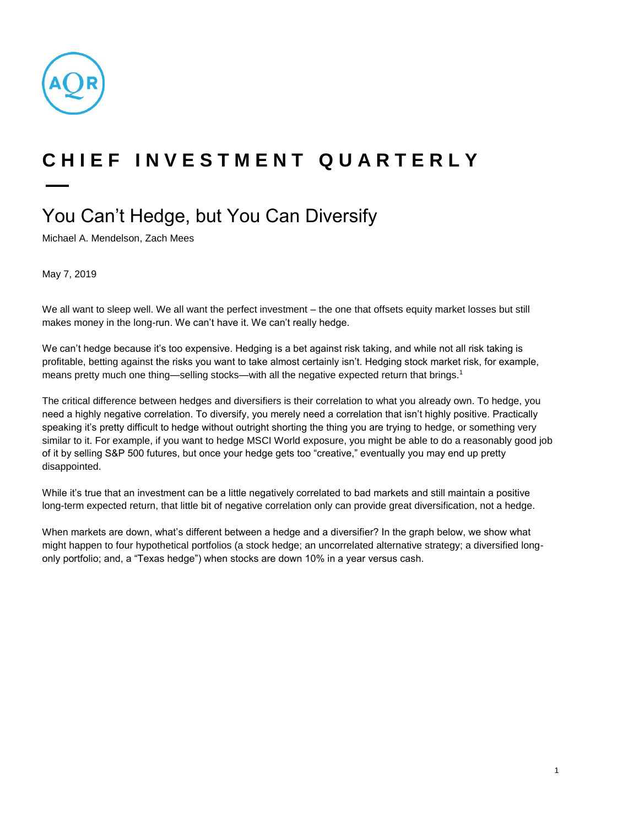

## **C H I E F I N V E S T M E N T Q U A R T E R L Y**

## You Can't Hedge, but You Can Diversify

Michael A. Mendelson, Zach Mees

May 7, 2019

We all want to sleep well. We all want the perfect investment – the one that offsets equity market losses but still makes money in the long-run. We can't have it. We can't really hedge.

We can't hedge because it's too expensive. Hedging is a bet against risk taking, and while not all risk taking is profitable, betting against the risks you want to take almost certainly isn't. Hedging stock market risk, for example, means pretty much one thing—selling stocks—with all the negative expected return that brings.<sup>1</sup>

The critical difference between hedges and diversifiers is their correlation to what you already own. To hedge, you need a highly negative correlation. To diversify, you merely need a correlation that isn't highly positive. Practically speaking it's pretty difficult to hedge without outright shorting the thing you are trying to hedge, or something very similar to it. For example, if you want to hedge MSCI World exposure, you might be able to do a reasonably good job of it by selling S&P 500 futures, but once your hedge gets too "creative," eventually you may end up pretty disappointed.

While it's true that an investment can be a little negatively correlated to bad markets and still maintain a positive long-term expected return, that little bit of negative correlation only can provide great diversification, not a hedge.

When markets are down, what's different between a hedge and a diversifier? In the graph below, we show what might happen to four hypothetical portfolios (a stock hedge; an uncorrelated alternative strategy; a diversified longonly portfolio; and, a "Texas hedge") when stocks are down 10% in a year versus cash.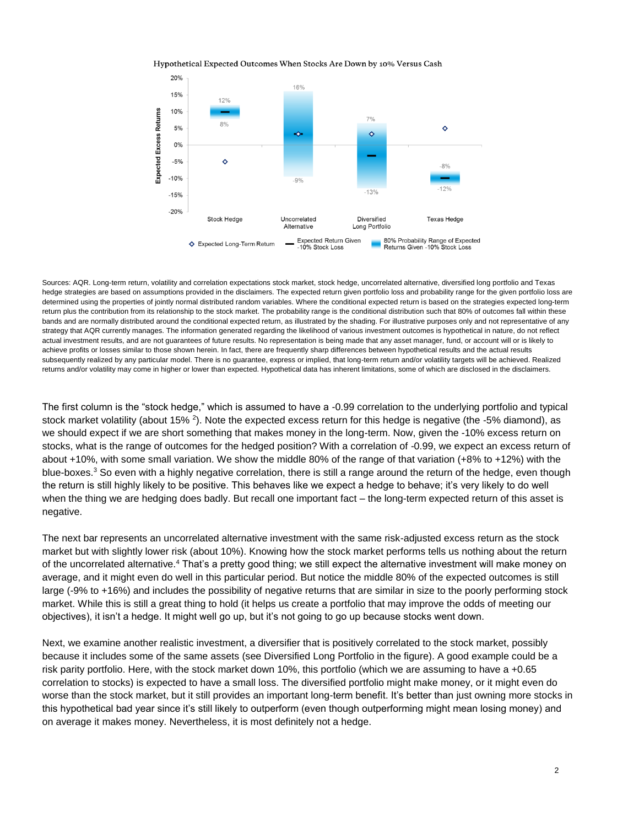Hypothetical Expected Outcomes When Stocks Are Down by 10% Versus Cash



Sources: AQR. Long-term return, volatility and correlation expectations stock market, stock hedge, uncorrelated alternative, diversified long portfolio and Texas hedge strategies are based on assumptions provided in the disclaimers. The expected return given portfolio loss and probability range for the given portfolio loss are determined using the properties of jointly normal distributed random variables. Where the conditional expected return is based on the strategies expected long-term return plus the contribution from its relationship to the stock market. The probability range is the conditional distribution such that 80% of outcomes fall within these bands and are normally distributed around the conditional expected return, as illustrated by the shading. For illustrative purposes only and not representative of any strategy that AQR currently manages. The information generated regarding the likelihood of various investment outcomes is hypothetical in nature, do not reflect actual investment results, and are not guarantees of future results. No representation is being made that any asset manager, fund, or account will or is likely to achieve profits or losses similar to those shown herein. In fact, there are frequently sharp differences between hypothetical results and the actual results subsequently realized by any particular model. There is no guarantee, express or implied, that long-term return and/or volatility targets will be achieved. Realized returns and/or volatility may come in higher or lower than expected. Hypothetical data has inherent limitations, some of which are disclosed in the disclaimers.

The first column is the "stock hedge," which is assumed to have a -0.99 correlation to the underlying portfolio and typical stock market volatility (about 15% <sup>2</sup>). Note the expected excess return for this hedge is negative (the -5% diamond), as we should expect if we are short something that makes money in the long-term. Now, given the -10% excess return on stocks, what is the range of outcomes for the hedged position? With a correlation of -0.99, we expect an excess return of about +10%, with some small variation. We show the middle 80% of the range of that variation (+8% to +12%) with the blue-boxes.<sup>3</sup> So even with a highly negative correlation, there is still a range around the return of the hedge, even though the return is still highly likely to be positive. This behaves like we expect a hedge to behave; it's very likely to do well when the thing we are hedging does badly. But recall one important fact – the long-term expected return of this asset is negative.

The next bar represents an uncorrelated alternative investment with the same risk-adjusted excess return as the stock market but with slightly lower risk (about 10%). Knowing how the stock market performs tells us nothing about the return of the uncorrelated alternative.<sup>4</sup> That's a pretty good thing; we still expect the alternative investment will make money on average, and it might even do well in this particular period. But notice the middle 80% of the expected outcomes is still large (-9% to +16%) and includes the possibility of negative returns that are similar in size to the poorly performing stock market. While this is still a great thing to hold (it helps us create a portfolio that may improve the odds of meeting our objectives), it isn't a hedge. It might well go up, but it's not going to go up because stocks went down.

Next, we examine another realistic investment, a diversifier that is positively correlated to the stock market, possibly because it includes some of the same assets (see Diversified Long Portfolio in the figure). A good example could be a risk parity portfolio. Here, with the stock market down 10%, this portfolio (which we are assuming to have a +0.65 correlation to stocks) is expected to have a small loss. The diversified portfolio might make money, or it might even do worse than the stock market, but it still provides an important long-term benefit. It's better than just owning more stocks in this hypothetical bad year since it's still likely to outperform (even though outperforming might mean losing money) and on average it makes money. Nevertheless, it is most definitely not a hedge.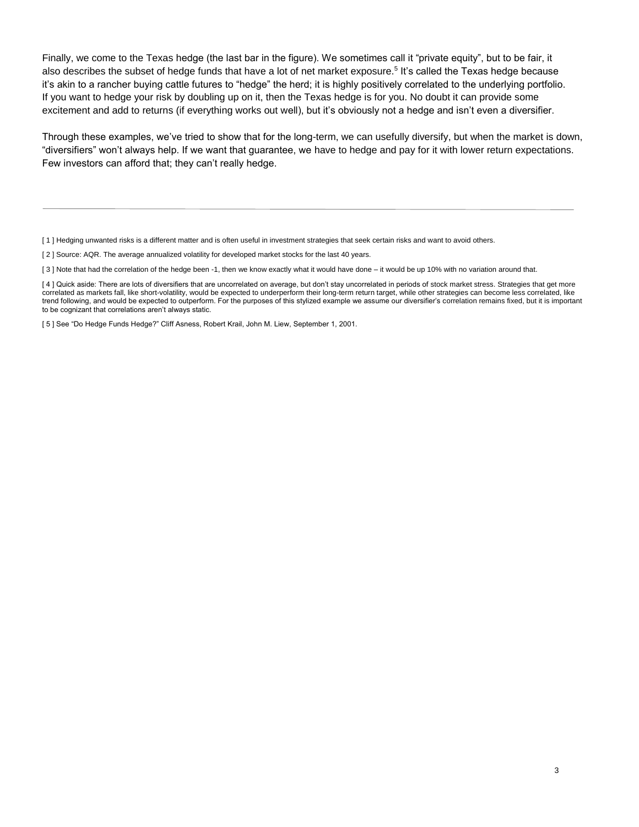Finally, we come to the Texas hedge (the last bar in the figure). We sometimes call it "private equity", but to be fair, it also describes the subset of hedge funds that have a lot of net market exposure.<sup>5</sup> It's called the Texas hedge because it's akin to a rancher buying cattle futures to "hedge" the herd; it is highly positively correlated to the underlying portfolio. If you want to hedge your risk by doubling up on it, then the Texas hedge is for you. No doubt it can provide some excitement and add to returns (if everything works out well), but it's obviously not a hedge and isn't even a diversifier.

Through these examples, we've tried to show that for the long-term, we can usefully diversify, but when the market is down, "diversifiers" won't always help. If we want that guarantee, we have to hedge and pay for it with lower return expectations. Few investors can afford that; they can't really hedge.

[1] Hedging unwanted risks is a different matter and is often useful in investment strategies that seek certain risks and want to avoid others.

[ 2 ] Source: AQR. The average annualized volatility for developed market stocks for the last 40 years.

[3] Note that had the correlation of the hedge been -1, then we know exactly what it would have done – it would be up 10% with no variation around that.

[ 5 ] See "Do Hedge Funds Hedge?" Cliff Asness, Robert Krail, John M. Liew, September 1, 2001.

<sup>[4]</sup> Quick aside: There are lots of diversifiers that are uncorrelated on average, but don't stay uncorrelated in periods of stock market stress. Strategies that get more correlated as markets fall, like short-volatility, would be expected to underperform their long-term return target, while other strategies can become less correlated, like trend following, and would be expected to outperform. For the purposes of this stylized example we assume our diversifier's correlation remains fixed, but it is important to be cognizant that correlations aren't always static.